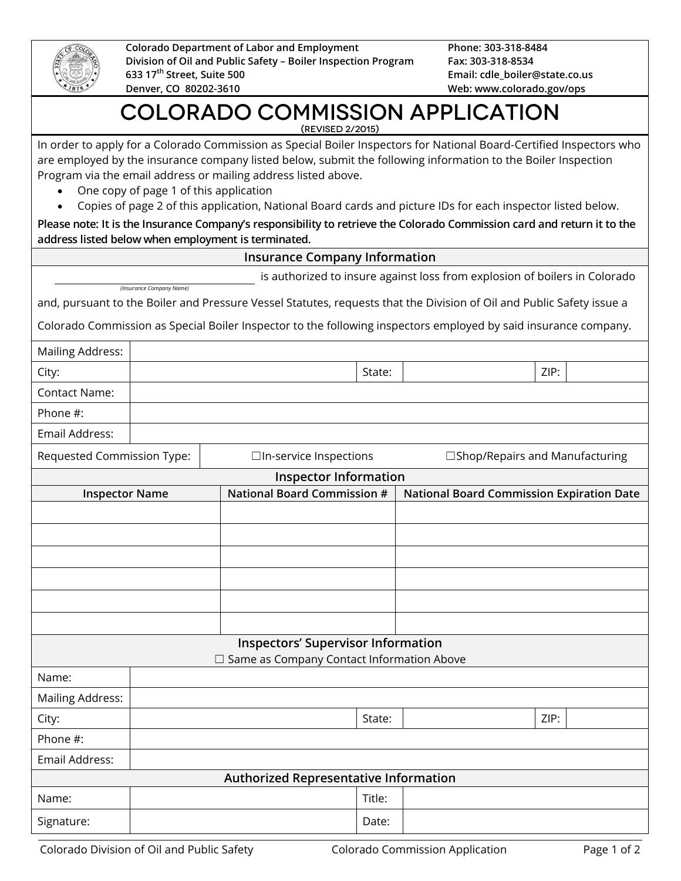

**Colorado Department of Labor and Employment Division of Oil and Public Safety – Boiler Inspection Program 633 17th Street, Suite 500 Denver, CO 80202-3610**

**Phone: 303-318-8484 Fax: 303-318-8534 Email: cdle\_boiler@state.co.us Web: www.colorado.gov/ops**

## Colorado Commission Application (Revised 2/2015)

In order to apply for a Colorado Commission as Special Boiler Inspectors for National Board-Certified Inspectors who are employed by the insurance company listed below, submit the following information to the Boiler Inspection

- Program via the email address or mailing address listed above.
	- One copy of page 1 of this application
	- Copies of page 2 of this application, National Board cards and picture IDs for each inspector listed below.

**Please note: It is the Insurance Company's responsibility to retrieve the Colorado Commission card and return it to the address listed below when employment is terminated.**

|                                                                                                                                                 |                          |  | <b>Insurance Company Information</b>         |        |                                                                                                                       |      |  |  |  |
|-------------------------------------------------------------------------------------------------------------------------------------------------|--------------------------|--|----------------------------------------------|--------|-----------------------------------------------------------------------------------------------------------------------|------|--|--|--|
|                                                                                                                                                 |                          |  |                                              |        | is authorized to insure against loss from explosion of boilers in Colorado                                            |      |  |  |  |
|                                                                                                                                                 | (Insurance Company Name) |  |                                              |        | and, pursuant to the Boiler and Pressure Vessel Statutes, requests that the Division of Oil and Public Safety issue a |      |  |  |  |
|                                                                                                                                                 |                          |  |                                              |        | Colorado Commission as Special Boiler Inspector to the following inspectors employed by said insurance company.       |      |  |  |  |
| <b>Mailing Address:</b>                                                                                                                         |                          |  |                                              |        |                                                                                                                       |      |  |  |  |
| City:                                                                                                                                           | ZIP:<br>State:           |  |                                              |        |                                                                                                                       |      |  |  |  |
| <b>Contact Name:</b>                                                                                                                            |                          |  |                                              |        |                                                                                                                       |      |  |  |  |
| Phone #:                                                                                                                                        |                          |  |                                              |        |                                                                                                                       |      |  |  |  |
| Email Address:                                                                                                                                  |                          |  |                                              |        |                                                                                                                       |      |  |  |  |
|                                                                                                                                                 |                          |  |                                              |        |                                                                                                                       |      |  |  |  |
| Requested Commission Type:<br>□In-service Inspections<br>□Shop/Repairs and Manufacturing                                                        |                          |  |                                              |        |                                                                                                                       |      |  |  |  |
| <b>Inspector Information</b><br><b>National Board Commission #</b><br><b>National Board Commission Expiration Date</b><br><b>Inspector Name</b> |                          |  |                                              |        |                                                                                                                       |      |  |  |  |
|                                                                                                                                                 |                          |  |                                              |        |                                                                                                                       |      |  |  |  |
|                                                                                                                                                 |                          |  |                                              |        |                                                                                                                       |      |  |  |  |
|                                                                                                                                                 |                          |  |                                              |        |                                                                                                                       |      |  |  |  |
|                                                                                                                                                 |                          |  |                                              |        |                                                                                                                       |      |  |  |  |
|                                                                                                                                                 |                          |  |                                              |        |                                                                                                                       |      |  |  |  |
|                                                                                                                                                 |                          |  |                                              |        |                                                                                                                       |      |  |  |  |
|                                                                                                                                                 |                          |  |                                              |        |                                                                                                                       |      |  |  |  |
|                                                                                                                                                 |                          |  | <b>Inspectors' Supervisor Information</b>    |        |                                                                                                                       |      |  |  |  |
| Name:                                                                                                                                           |                          |  | □ Same as Company Contact Information Above  |        |                                                                                                                       |      |  |  |  |
| <b>Mailing Address:</b>                                                                                                                         |                          |  |                                              |        |                                                                                                                       |      |  |  |  |
| City:                                                                                                                                           |                          |  |                                              | State: |                                                                                                                       | ZIP: |  |  |  |
| Phone #:                                                                                                                                        |                          |  |                                              |        |                                                                                                                       |      |  |  |  |
| Email Address:                                                                                                                                  |                          |  |                                              |        |                                                                                                                       |      |  |  |  |
|                                                                                                                                                 |                          |  | <b>Authorized Representative Information</b> |        |                                                                                                                       |      |  |  |  |
| Name:                                                                                                                                           |                          |  |                                              | Title: |                                                                                                                       |      |  |  |  |
| Signature:                                                                                                                                      |                          |  |                                              | Date:  |                                                                                                                       |      |  |  |  |
|                                                                                                                                                 |                          |  |                                              |        |                                                                                                                       |      |  |  |  |